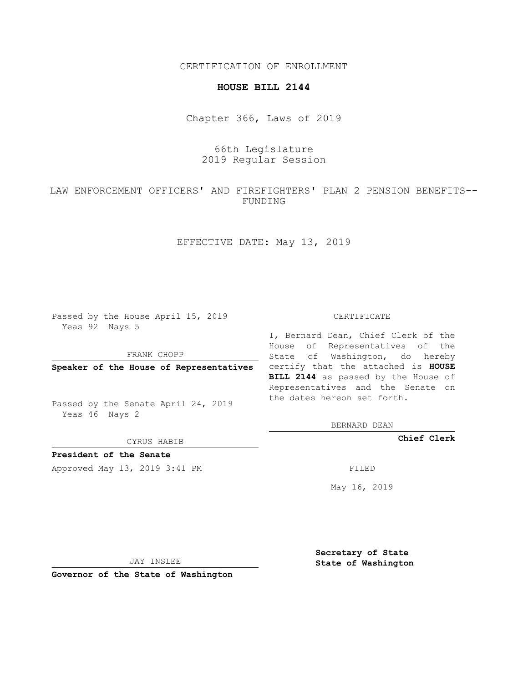CERTIFICATION OF ENROLLMENT

## **HOUSE BILL 2144**

Chapter 366, Laws of 2019

## 66th Legislature 2019 Regular Session

LAW ENFORCEMENT OFFICERS' AND FIREFIGHTERS' PLAN 2 PENSION BENEFITS-- FUNDING

EFFECTIVE DATE: May 13, 2019

Passed by the House April 15, 2019 Yeas 92 Nays 5

FRANK CHOPP

Passed by the Senate April 24, 2019 Yeas 46 Nays 2

CYRUS HABIB

**President of the Senate**

Approved May 13, 2019 3:41 PM FILED

## CERTIFICATE

**Speaker of the House of Representatives** certify that the attached is **HOUSE** I, Bernard Dean, Chief Clerk of the House of Representatives of the State of Washington, do hereby **BILL 2144** as passed by the House of Representatives and the Senate on the dates hereon set forth.

BERNARD DEAN

**Chief Clerk**

May 16, 2019

JAY INSLEE

**Governor of the State of Washington**

**Secretary of State State of Washington**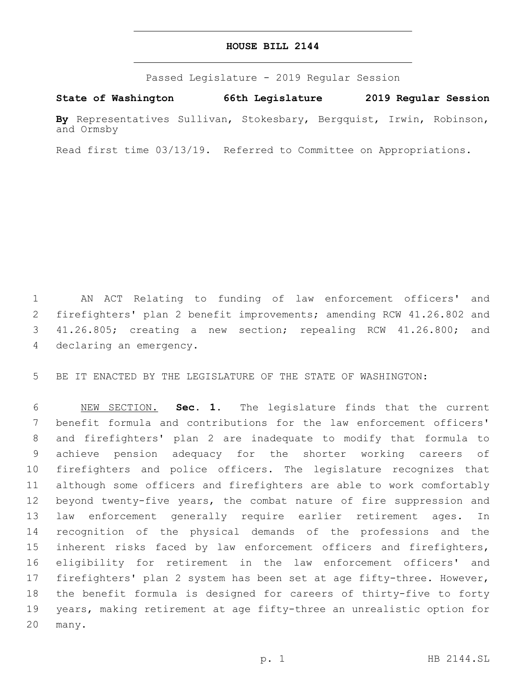## **HOUSE BILL 2144**

Passed Legislature - 2019 Regular Session

**State of Washington 66th Legislature 2019 Regular Session**

**By** Representatives Sullivan, Stokesbary, Bergquist, Irwin, Robinson, and Ormsby

Read first time 03/13/19. Referred to Committee on Appropriations.

 AN ACT Relating to funding of law enforcement officers' and firefighters' plan 2 benefit improvements; amending RCW 41.26.802 and 41.26.805; creating a new section; repealing RCW 41.26.800; and 4 declaring an emergency.

BE IT ENACTED BY THE LEGISLATURE OF THE STATE OF WASHINGTON:

 NEW SECTION. **Sec. 1.** The legislature finds that the current benefit formula and contributions for the law enforcement officers' and firefighters' plan 2 are inadequate to modify that formula to achieve pension adequacy for the shorter working careers of firefighters and police officers. The legislature recognizes that although some officers and firefighters are able to work comfortably beyond twenty-five years, the combat nature of fire suppression and law enforcement generally require earlier retirement ages. In recognition of the physical demands of the professions and the inherent risks faced by law enforcement officers and firefighters, eligibility for retirement in the law enforcement officers' and firefighters' plan 2 system has been set at age fifty-three. However, the benefit formula is designed for careers of thirty-five to forty years, making retirement at age fifty-three an unrealistic option for many.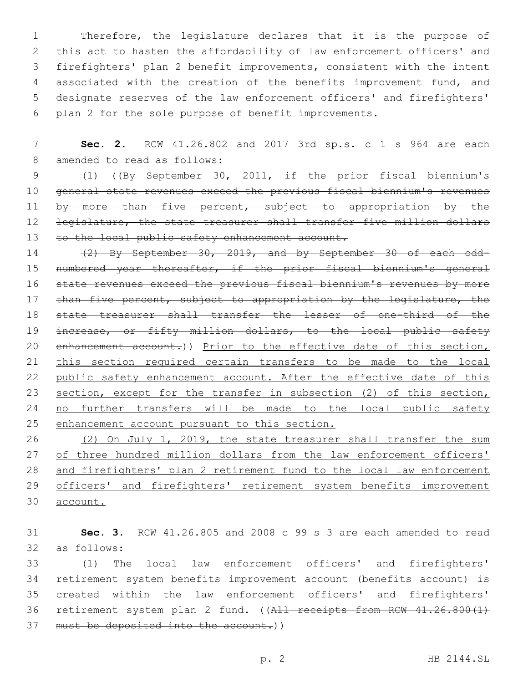Therefore, the legislature declares that it is the purpose of this act to hasten the affordability of law enforcement officers' and firefighters' plan 2 benefit improvements, consistent with the intent associated with the creation of the benefits improvement fund, and designate reserves of the law enforcement officers' and firefighters' plan 2 for the sole purpose of benefit improvements.

7 **Sec. 2.** RCW 41.26.802 and 2017 3rd sp.s. c 1 s 964 are each 8 amended to read as follows:

9 (1) ((By September 30, 2011, if the prior fiscal biennium's 10 general state revenues exceed the previous fiscal biennium's revenues 11 by more than five percent, subject to appropriation by the 12 <del>legislature, the state treasurer shall transfer five million dollars</del> 13 to the local public safety enhancement account.

14 (2) By September 30, 2019, and by September 30 of each odd-15 numbered year thereafter, if the prior fiscal biennium's general 16 state revenues exceed the previous fiscal biennium's revenues by more 17 than five percent, subject to appropriation by the legislature, the 18 state treasurer shall transfer the lesser of one-third of the 19 increase, or fifty million dollars, to the local public safety 20 enhancement account.)) Prior to the effective date of this section, 21 this section required certain transfers to be made to the local 22 public safety enhancement account. After the effective date of this 23 section, except for the transfer in subsection (2) of this section, 24 no further transfers will be made to the local public safety 25 enhancement account pursuant to this section.

26 (2) On July 1, 2019, the state treasurer shall transfer the sum 27 of three hundred million dollars from the law enforcement officers' 28 and firefighters' plan 2 retirement fund to the local law enforcement 29 officers' and firefighters' retirement system benefits improvement 30 account.

31 **Sec. 3.** RCW 41.26.805 and 2008 c 99 s 3 are each amended to read 32 as follows:

33 (1) The local law enforcement officers' and firefighters' 34 retirement system benefits improvement account (benefits account) is 35 created within the law enforcement officers' and firefighters' 36 retirement system plan 2 fund. ((All receipts from RCW 41.26.800(1) 37 must be deposited into the account.))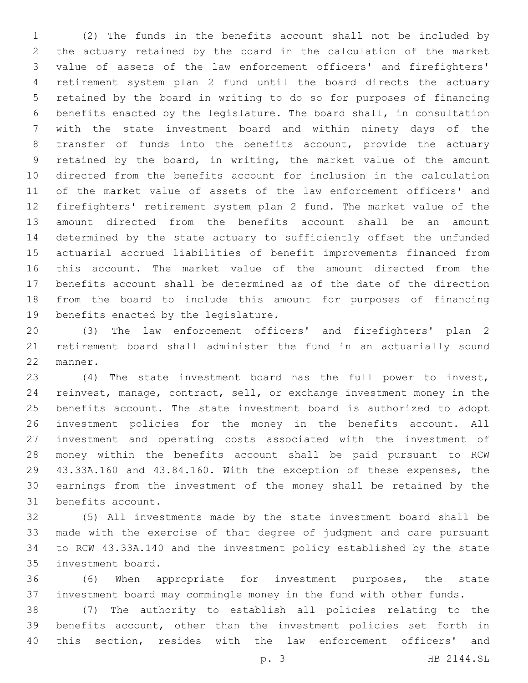(2) The funds in the benefits account shall not be included by the actuary retained by the board in the calculation of the market value of assets of the law enforcement officers' and firefighters' retirement system plan 2 fund until the board directs the actuary retained by the board in writing to do so for purposes of financing benefits enacted by the legislature. The board shall, in consultation with the state investment board and within ninety days of the transfer of funds into the benefits account, provide the actuary retained by the board, in writing, the market value of the amount directed from the benefits account for inclusion in the calculation of the market value of assets of the law enforcement officers' and firefighters' retirement system plan 2 fund. The market value of the amount directed from the benefits account shall be an amount determined by the state actuary to sufficiently offset the unfunded actuarial accrued liabilities of benefit improvements financed from this account. The market value of the amount directed from the benefits account shall be determined as of the date of the direction from the board to include this amount for purposes of financing 19 benefits enacted by the legislature.

 (3) The law enforcement officers' and firefighters' plan 2 retirement board shall administer the fund in an actuarially sound 22 manner.

 (4) The state investment board has the full power to invest, reinvest, manage, contract, sell, or exchange investment money in the benefits account. The state investment board is authorized to adopt investment policies for the money in the benefits account. All investment and operating costs associated with the investment of money within the benefits account shall be paid pursuant to RCW 43.33A.160 and 43.84.160. With the exception of these expenses, the earnings from the investment of the money shall be retained by the 31 benefits account.

 (5) All investments made by the state investment board shall be made with the exercise of that degree of judgment and care pursuant to RCW 43.33A.140 and the investment policy established by the state 35 investment board.

 (6) When appropriate for investment purposes, the state investment board may commingle money in the fund with other funds.

 (7) The authority to establish all policies relating to the benefits account, other than the investment policies set forth in this section, resides with the law enforcement officers' and